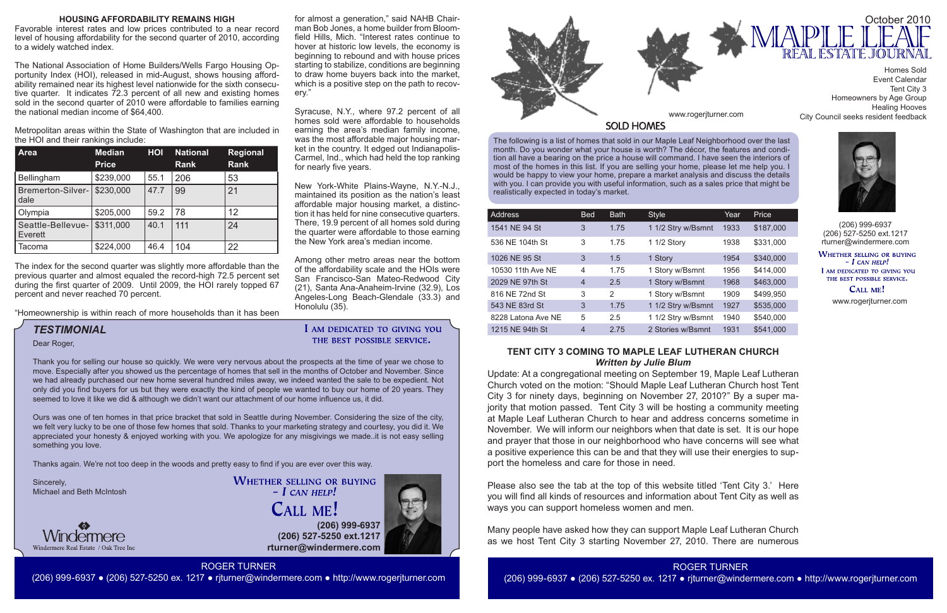The following is a list of homes that sold in our Maple Leaf Neighborhood over the last month. Do you wonder what your house is worth? The décor, the features and condition all have a bearing on the price a house will command. I have seen the interiors of most of the homes in this list. If you are selling your home, please let me help you. I would be happy to view your home, prepare a market analysis and discuss the details with you. I can provide you with useful information, such as a sales price that might be realistically expected in today's market.

**(206) 999-6937 (206) 527-5250 ext.1217 rturner@windermere.com**





| Address            | <b>Bed</b>     | <b>Bath</b>   | <b>Style</b>       | Year | Price     |
|--------------------|----------------|---------------|--------------------|------|-----------|
| 1541 NE 94 St      | 3              | 1.75          | 1 1/2 Stry w/Bsmnt | 1933 | \$187,000 |
| 536 NE 104th St    | 3              | 1.75          | 1 1/2 Story        | 1938 | \$331,000 |
| 1026 NE 95 St      | 3              | 1.5           | 1 Story            | 1954 | \$340,000 |
| 10530 11th Ave NE  | 4              | 1.75          | 1 Story w/Bsmnt    | 1956 | \$414,000 |
| 2029 NE 97th St    | $\overline{4}$ | 2.5           | 1 Story w/Bsmnt    | 1968 | \$463,000 |
| 816 NE 72nd St     | 3              | $\mathcal{P}$ | 1 Story w/Bsmnt    | 1909 | \$499,950 |
| 543 NE 83rd St     | 3              | 1.75          | 1 1/2 Stry w/Bsmnt | 1927 | \$535,000 |
| 8228 Latona Ave NE | 5              | 2.5           | 1 1/2 Stry w/Bsmnt | 1940 | \$540,000 |
| 1215 NE 94th St    | $\overline{4}$ | 2.75          | 2 Stories w/Bsmnt  | 1931 | \$541,000 |



(206) 999-6937 (206) 527-5250 ext.1217 rturner@windermere.com

WHETHER SELLING OR BUYING  $-I$  CAN HELP! I AM DEDICATED TO GIVING YOU THE BEST POSSIBLE SERVICE.

CALL ME!

# *TESTIMONIAL*

www.rogerjturner.com

www.rogerjturner.com

ROGER TURNER (206) 999-6937 ● (206) 527-5250 ex. 1217 ● rjturner@windermere.com ● http://www.rogerjturner.com

I AM DEDICATED TO GIVING YOU THE BEST POSSIBLE SERVICE.

Event Calendar Tent City 3 Homeowners by Age Group Healing Hooves City Council seeks resident feedback



Dear Roger,

Thank you for selling our house so quickly. We were very nervous about the prospects at the time of year we chose to move. Especially after you showed us the percentage of homes that sell in the months of October and November. Since we had already purchased our new home several hundred miles away, we indeed wanted the sale to be expedient. Not only did you find buyers for us but they were exactly the kind of people we wanted to buy our home of 20 years. They seemed to love it like we did & although we didn't want our attachment of our home influence us, it did.

Ours was one of ten homes in that price bracket that sold in Seattle during November. Considering the size of the city, we felt very lucky to be one of those few homes that sold. Thanks to your marketing strategy and courtesy, you did it. We appreciated your honesty & enjoyed working with you. We apologize for any misgivings we made..it is not easy selling something you love.

Thanks again. We're not too deep in the woods and pretty easy to find if you are ever over this way.

Sincerely, Michael and Beth McIntosh



**WHETHER SELLING OR BUYING**  $-$  *L* CAN HELP! **CALL ME!** 

# **TENT CITY 3 COMING TO MAPLE LEAF LUTHERAN CHURCH** *Written by Julie Blum*

Update: At a congregational meeting on September 19, Maple Leaf Lutheran Church voted on the motion: "Should Maple Leaf Lutheran Church host Tent City 3 for ninety days, beginning on November 27, 2010?" By a super majority that motion passed. Tent City 3 will be hosting a community meeting at Maple Leaf Lutheran Church to hear and address concerns sometime in November. We will inform our neighbors when that date is set. It is our hope and prayer that those in our neighborhood who have concerns will see what a positive experience this can be and that they will use their energies to support the homeless and care for those in need.

Please also see the tab at the top of this website titled 'Tent City 3.' Here you will find all kinds of resources and information about Tent City as well as ways you can support homeless women and men.

Many people have asked how they can support Maple Leaf Lutheran Church as we host Tent City 3 starting November 27, 2010. There are numerous

## **HOUSING AFFORDABILITY REMAINS HIGH**

Favorable interest rates and low prices contributed to a near record level of housing affordability for the second quarter of 2010, according to a widely watched index.

The National Association of Home Builders/Wells Fargo Housing Opportunity Index (HOI), released in mid-August, shows housing affordability remained near its highest level nationwide for the sixth consecutive quarter. It indicates 72.3 percent of all new and existing homes sold in the second quarter of 2010 were affordable to families earning the national median income of \$64,400.

Metropolitan areas within the State of Washington that are included in the HOI and their rankings include:

| <b>Area</b>                  | <b>Median</b><br><b>Price</b> | HOI  | <b>National</b><br><b>Rank</b> | <b>Regional</b><br><b>Rank</b> |
|------------------------------|-------------------------------|------|--------------------------------|--------------------------------|
| Bellingham                   | \$239,000                     | 55.1 | 206                            | 53                             |
| Bremerton-Silver-<br>dale    | \$230,000                     | 47.7 | 99                             | 21                             |
| Olympia                      | \$205,000                     | 59.2 | 78                             | 12                             |
| Seattle-Bellevue-<br>Everett | \$311,000                     | 40.1 | 111                            | 24                             |
| Tacoma                       | \$224,000                     | 46.4 | 104                            | 22                             |

The index for the second quarter was slightly more affordable than the previous quarter and almost equaled the record-high 72.5 percent set during the first quarter of 2009. Until 2009, the HOI rarely topped 67 percent and never reached 70 percent.

"Homeownership is within reach of more households than it has been

for almost a generation," said NAHB Chairman Bob Jones, a home builder from Bloomfield Hills, Mich. "Interest rates continue to hover at historic low levels, the economy is beginning to rebound and with house prices starting to stabilize, conditions are beginning to draw home buyers back into the market, which is a positive step on the path to recov-

ery."

Syracuse, N.Y., where 97.2 percent of all homes sold were affordable to households earning the area's median family income, was the most affordable major housing market in the country. It edged out Indianapolis-Carmel, Ind., which had held the top ranking

for nearly five years.

New York-White Plains-Wayne, N.Y.-N.J., maintained its position as the nation's least affordable major housing market, a distinction it has held for nine consecutive quarters. There, 19.9 percent of all homes sold during the quarter were affordable to those earning

the New York area's median income.

Among other metro areas near the bottom of the affordability scale and the HOIs were San Francisco-San Mateo-Redwood City (21), Santa Ana-Anaheim-Irvine (32.9), Los Angeles-Long Beach-Glendale (33.3) and

Honolulu (35).